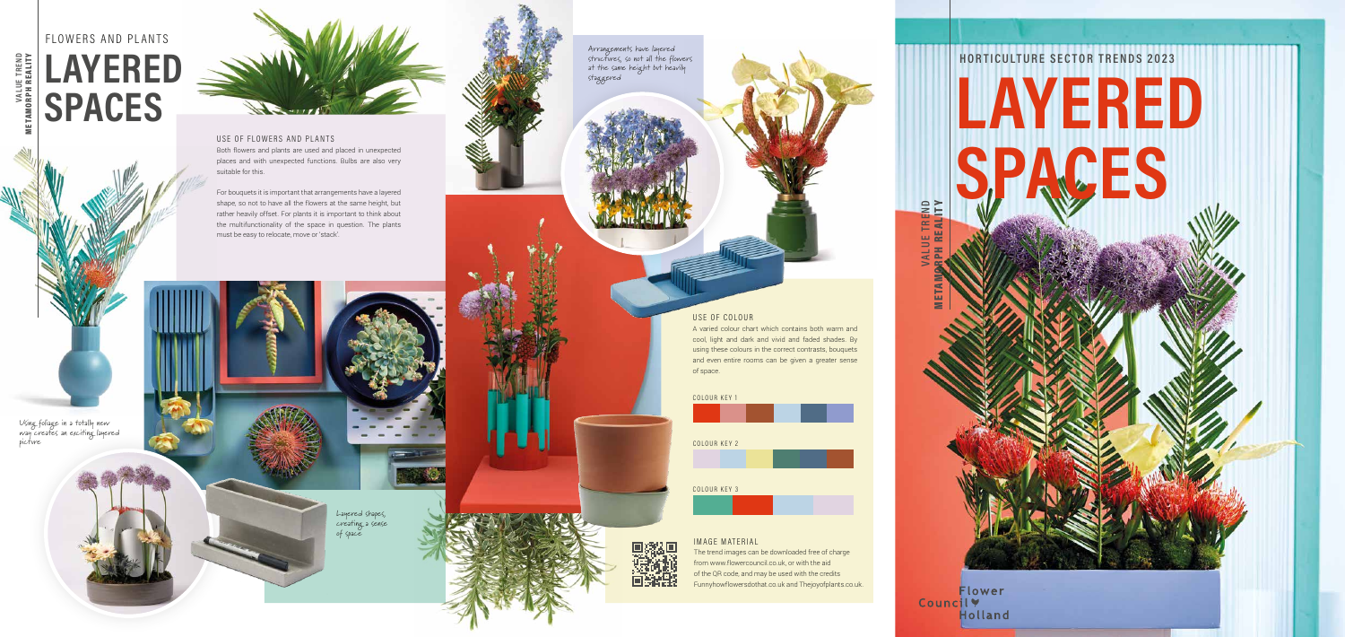### USE OF FLOWERS AND PLANTS

Both flowers and plants are used and placed in unexpected places and with unexpected functions. Bulbs are also very suitable for this.

For bouquets it is important that arrangements have a layered shape, so not to have all the flowers at the same height, but rather heavily offset. For plants it is important to think about the multifunctionality of the space in question. The plants must be easy to relocate, move or 'stack'.

# **HORTICULTURE SECTOR TRENDS 2023 LAYERED ACES**

Flower Councily **Holland** 

### USE OF COLOUR

A varied colour chart which contains both warm and cool, light and dark and vivid and faded shades. By using these colours in the correct contrasts, bouquets and even entire rooms can be given a greater sense of space.

**VALUE TREND** 

METAMORPH REALITY





**VALUE TREND** 

METAMORPH REALITY

Using foliage in a totally new way creates an exciting layered picture



Layered shapes, creating a sense of space

Arrangements have layered structures, so not all the flowers at the same height but heavily staggered





# FLOWERS AND PLANTS **LAYERED SPACES**

#### IMAGE MATERIAL

The trend images can be downloaded free of charge from www.flowercouncil.co.uk, or with the aid of the QR code, and may be used with the credits Funnyhowflowersdothat.co.uk and Thejoyofplants.co.uk.